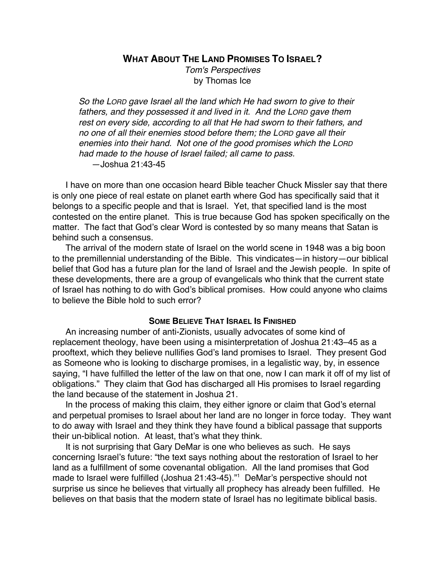**WHAT ABOUT THE LAND PROMISES TO ISRAEL?**

Tom's Perspectives by Thomas Ice

So the LORD gave Israel all the land which He had sworn to give to their fathers, and they possessed it and lived in it. And the LORD gave them rest on every side, according to all that He had sworn to their fathers, and no one of all their enemies stood before them; the LORD gave all their enemies into their hand. Not one of the good promises which the LORD had made to the house of Israel failed; all came to pass. —Joshua 21:43-45

I have on more than one occasion heard Bible teacher Chuck Missler say that there is only one piece of real estate on planet earth where God has specifically said that it belongs to a specific people and that is Israel. Yet, that specified land is the most contested on the entire planet. This is true because God has spoken specifically on the matter. The fact that God's clear Word is contested by so many means that Satan is behind such a consensus.

The arrival of the modern state of Israel on the world scene in 1948 was a big boon to the premillennial understanding of the Bible. This vindicates—in history—our biblical belief that God has a future plan for the land of Israel and the Jewish people. In spite of these developments, there are a group of evangelicals who think that the current state of Israel has nothing to do with God's biblical promises. How could anyone who claims to believe the Bible hold to such error?

# **SOME BELIEVE THAT ISRAEL IS FINISHED**

An increasing number of anti-Zionists, usually advocates of some kind of replacement theology, have been using a misinterpretation of Joshua 21:43–45 as a prooftext, which they believe nullifies God's land promises to Israel. They present God as Someone who is looking to discharge promises, in a legalistic way, by, in essence saying, "I have fulfilled the letter of the law on that one, now I can mark it off of my list of obligations." They claim that God has discharged all His promises to Israel regarding the land because of the statement in Joshua 21.

In the process of making this claim, they either ignore or claim that God's eternal and perpetual promises to Israel about her land are no longer in force today. They want to do away with Israel and they think they have found a biblical passage that supports their un-biblical notion. At least, that's what they think.

It is not surprising that Gary DeMar is one who believes as such. He says concerning Israel's future: "the text says nothing about the restoration of Israel to her land as a fulfillment of some covenantal obligation. All the land promises that God made to Israel were fulfilled (Joshua 21:43-45)."1 DeMar's perspective should not surprise us since he believes that virtually all prophecy has already been fulfilled. He believes on that basis that the modern state of Israel has no legitimate biblical basis.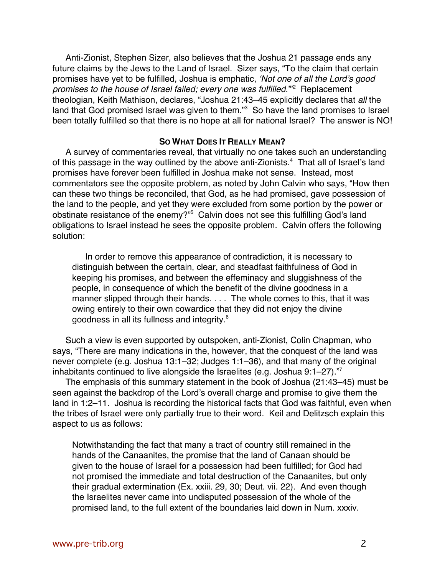Anti-Zionist, Stephen Sizer, also believes that the Joshua 21 passage ends any future claims by the Jews to the Land of Israel. Sizer says, "To the claim that certain promises have yet to be fulfilled, Joshua is emphatic, 'Not one of all the Lord's good promises to the house of Israel failed; every one was fulfilled."<sup>2</sup> Replacement theologian, Keith Mathison, declares, "Joshua 21:43–45 explicitly declares that all the land that God promised Israel was given to them."<sup>3</sup> So have the land promises to Israel been totally fulfilled so that there is no hope at all for national Israel? The answer is NO!

## **SO WHAT DOES IT REALLY MEAN?**

A survey of commentaries reveal, that virtually no one takes such an understanding of this passage in the way outlined by the above anti-Zionists.<sup>4</sup> That all of Israel's land promises have forever been fulfilled in Joshua make not sense. Instead, most commentators see the opposite problem, as noted by John Calvin who says, "How then can these two things be reconciled, that God, as he had promised, gave possession of the land to the people, and yet they were excluded from some portion by the power or obstinate resistance of the enemy?"<sup>5</sup> Calvin does not see this fulfilling God's land obligations to Israel instead he sees the opposite problem. Calvin offers the following solution:

In order to remove this appearance of contradiction, it is necessary to distinguish between the certain, clear, and steadfast faithfulness of God in keeping his promises, and between the effeminacy and sluggishness of the people, in consequence of which the benefit of the divine goodness in a manner slipped through their hands. . . . The whole comes to this, that it was owing entirely to their own cowardice that they did not enjoy the divine goodness in all its fullness and integrity.<sup>6</sup>

Such a view is even supported by outspoken, anti-Zionist, Colin Chapman, who says, "There are many indications in the, however, that the conquest of the land was never complete (e.g. Joshua 13:1–32; Judges 1:1–36), and that many of the original inhabitants continued to live alongside the Israelites (e.g. Joshua 9:1–27)."7

The emphasis of this summary statement in the book of Joshua (21:43–45) must be seen against the backdrop of the Lord's overall charge and promise to give them the land in 1:2–11. Joshua is recording the historical facts that God was faithful, even when the tribes of Israel were only partially true to their word. Keil and Delitzsch explain this aspect to us as follows:

Notwithstanding the fact that many a tract of country still remained in the hands of the Canaanites, the promise that the land of Canaan should be given to the house of Israel for a possession had been fulfilled; for God had not promised the immediate and total destruction of the Canaanites, but only their gradual extermination (Ex. xxiii. 29, 30; Deut. vii. 22). And even though the Israelites never came into undisputed possession of the whole of the promised land, to the full extent of the boundaries laid down in Num. xxxiv.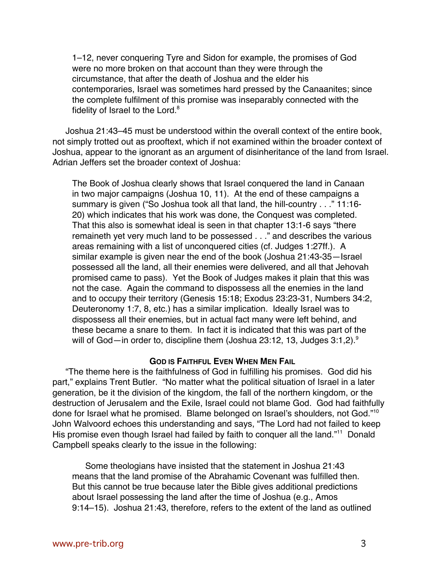1–12, never conquering Tyre and Sidon for example, the promises of God were no more broken on that account than they were through the circumstance, that after the death of Joshua and the elder his contemporaries, Israel was sometimes hard pressed by the Canaanites; since the complete fulfilment of this promise was inseparably connected with the fidelity of Israel to the Lord.<sup>8</sup>

Joshua 21:43–45 must be understood within the overall context of the entire book, not simply trotted out as prooftext, which if not examined within the broader context of Joshua, appear to the ignorant as an argument of disinheritance of the land from Israel. Adrian Jeffers set the broader context of Joshua:

The Book of Joshua clearly shows that Israel conquered the land in Canaan in two major campaigns (Joshua 10, 11). At the end of these campaigns a summary is given ("So Joshua took all that land, the hill-country . . ." 11:16- 20) which indicates that his work was done, the Conquest was completed. That this also is somewhat ideal is seen in that chapter 13:1-6 says "there remaineth yet very much land to be possessed . . ." and describes the various areas remaining with a list of unconquered cities (cf. Judges 1:27ff.). A similar example is given near the end of the book (Joshua 21:43-35—Israel possessed all the land, all their enemies were delivered, and all that Jehovah promised came to pass). Yet the Book of Judges makes it plain that this was not the case. Again the command to dispossess all the enemies in the land and to occupy their territory (Genesis 15:18; Exodus 23:23-31, Numbers 34:2, Deuteronomy 1:7, 8, etc.) has a similar implication. Ideally Israel was to dispossess all their enemies, but in actual fact many were left behind, and these became a snare to them. In fact it is indicated that this was part of the will of God—in order to, discipline them (Joshua 23:12, 13, Judges 3:1,2).<sup>9</sup>

## **GOD IS FAITHFUL EVEN WHEN MEN FAIL**

"The theme here is the faithfulness of God in fulfilling his promises. God did his part," explains Trent Butler. "No matter what the political situation of Israel in a later generation, be it the division of the kingdom, the fall of the northern kingdom, or the destruction of Jerusalem and the Exile, Israel could not blame God. God had faithfully done for Israel what he promised. Blame belonged on Israel's shoulders, not God."10 John Walvoord echoes this understanding and says, "The Lord had not failed to keep His promise even though Israel had failed by faith to conquer all the land."<sup>11</sup> Donald Campbell speaks clearly to the issue in the following:

Some theologians have insisted that the statement in Joshua 21:43 means that the land promise of the Abrahamic Covenant was fulfilled then. But this cannot be true because later the Bible gives additional predictions about Israel possessing the land after the time of Joshua (e.g., Amos 9:14–15). Joshua 21:43, therefore, refers to the extent of the land as outlined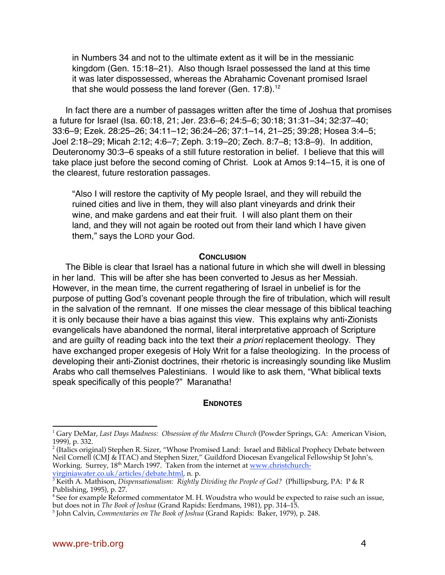in Numbers 34 and not to the ultimate extent as it will be in the messianic kingdom (Gen. 15:18–21). Also though Israel possessed the land at this time it was later dispossessed, whereas the Abrahamic Covenant promised Israel that she would possess the land forever (Gen.  $17:8$ ).<sup>12</sup>

In fact there are a number of passages written after the time of Joshua that promises a future for Israel (Isa. 60:18, 21; Jer. 23:6–6; 24:5–6; 30:18; 31:31–34; 32:37–40; 33:6–9; Ezek. 28:25–26; 34:11–12; 36:24–26; 37:1–14, 21–25; 39:28; Hosea 3:4–5; Joel 2:18–29; Micah 2:12; 4:6–7; Zeph. 3:19–20; Zech. 8:7–8; 13:8–9). In addition, Deuteronomy 30:3–6 speaks of a still future restoration in belief. I believe that this will take place just before the second coming of Christ. Look at Amos 9:14–15, it is one of the clearest, future restoration passages.

"Also I will restore the captivity of My people Israel, and they will rebuild the ruined cities and live in them, they will also plant vineyards and drink their wine, and make gardens and eat their fruit. I will also plant them on their land, and they will not again be rooted out from their land which I have given them," says the LORD your God.

#### **CONCLUSION**

The Bible is clear that Israel has a national future in which she will dwell in blessing in her land. This will be after she has been converted to Jesus as her Messiah. However, in the mean time, the current regathering of Israel in unbelief is for the purpose of putting God's covenant people through the fire of tribulation, which will result in the salvation of the remnant. If one misses the clear message of this biblical teaching it is only because their have a bias against this view. This explains why anti-Zionists evangelicals have abandoned the normal, literal interpretative approach of Scripture and are quilty of reading back into the text their a priori replacement theology. They have exchanged proper exegesis of Holy Writ for a false theologizing. In the process of developing their anti-Zionist doctrines, their rhetoric is increasingly sounding like Muslim Arabs who call themselves Palestinians. I would like to ask them, "What biblical texts speak specifically of this people?" Maranatha!

### **ENDNOTES**

-

<sup>&</sup>lt;sup>1</sup> Gary DeMar, *Last Days Madness: Obsession of the Modern Church* (Powder Springs, GA: American Vision, 1999), p. 332.

 $^2$  (Italics original) Stephen R. Sizer, "Whose Promised Land: Israel and Biblical Prophecy Debate between Neil Cornell (CMJ & ITAC) and Stephen Sizer," Guildford Diocesan Evangelical Fellowship St John's, Working. Surrey, 18<sup>th</sup> March 1997. Taken from the internet at www.christchurch-

virginiawater.co.uk/articles/debate.html, n. p. <sup>3</sup> Keith A. Mathison, *Dispensationalism: Rightly Dividing the People of God?* (Phillipsburg, PA: P & R Publishing, 1995), p. 27.

<sup>&</sup>lt;sup>4</sup> See for example Reformed commentator M. H. Woudstra who would be expected to raise such an issue, but does not in *The Book of Joshua* (Grand Rapids: Eerdmans, 1981), pp. 314–15.

<sup>&</sup>lt;sup>5</sup> John Calvin, *Commentaries on The Book of Joshua* (Grand Rapids: Baker, 1979), p. 248.